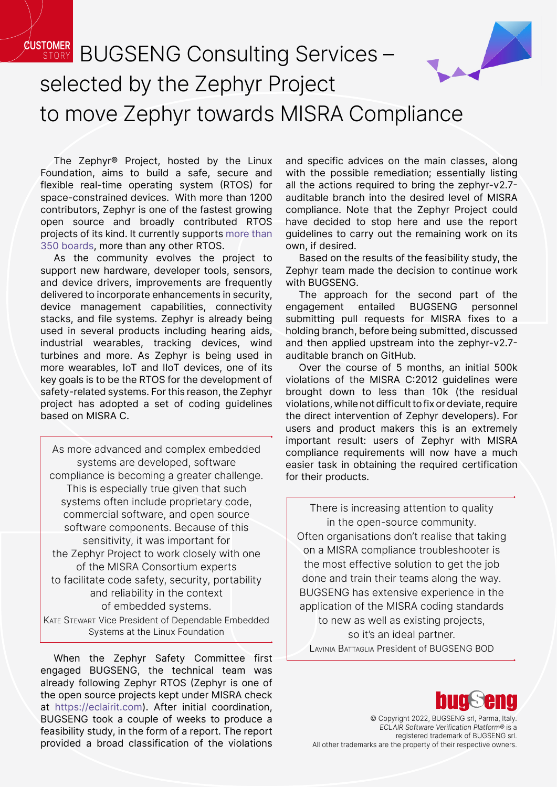## **CUSTOMER STORY BUGSENG Consulting Services** selected by the Zephyr Project to move Zephyr towards MISRA Compli[ance](https://www.zephyrproject.org/)

The Zephyr® Project, hosted by the Linux Foundation, aims to build a safe, secure and flexible real-time operating system (RTOS) for space-constrained devices. With more than 1200 contributors, Zephyr is one of the fastest growing open source and broadly contributed RTOS projects of its kind. It currently supports [more than](https://docs.zephyrproject.org/latest/boards/index.html) [350 boards](https://docs.zephyrproject.org/latest/boards/index.html), more than any other RTOS.

As the community evolves the project to support new hardware, developer tools, sensors, and device drivers, improvements are frequently delivered to incorporate enhancements in security, device management capabilities, connectivity stacks, and file systems. Zephyr is already being used in several products including hearing aids, industrial wearables, tracking devices, wind turbines and more. As Zephyr is being used in more wearables, IoT and IIoT devices, one of its key goals is to be the RTOS for the development of safety-related systems. For this reason, the Zephyr project has adopted a set of coding guidelines based on MISRA C.

As more advanced and complex embedded systems are developed, software compliance is becoming a greater challenge. This is especially true given that such systems often include proprietary code, commercial software, and open source software components. Because of this sensitivity, it was important for the Zephyr Project to work closely with one of the MISRA Consortium experts to facilitate code safety, security, portability and reliability in the context of embedded systems. Kate Stewart Vice President of Dependable Embedded

Systems at the Linux Foundation

When the Zephyr Safety Committee first engaged BUGSENG, the technical team was already following Zephyr RTOS (Zephyr is one of the open source projects kept under MISRA check at <https://eclairit.com>). After initial coordination, BUGSENG took a couple of weeks to produce a feasibility study, in the form of a report. The report provided a broad classification of the violations and specific advices on the main classes, along with the possible remediation; essentially listing all the actions required to bring the zephyr-v2.7 auditable branch into the desired level of MISRA compliance. Note that the Zephyr Project could have decided to stop here and use the report guidelines to carry out the remaining work on its own, if desired.

Based on the results of the feasibility study, the Zephyr team made the decision to continue work with BUGSENG.

The approach for the second part of the engagement entailed BUGSENG personnel submitting pull requests for MISRA fixes to a holding branch, before being submitted, discussed and then applied upstream into the zephyr-v2.7 auditable branch on GitHub.

Over the course of 5 months, an initial 500k violations of the MISRA C:2012 guidelines were brought down to less than 10k (the residual violations, while not difficult to fix or deviate, require the direct intervention of Zephyr developers). For users and product makers this is an extremely important result: users of Zephyr with MISRA compliance requirements will now have a much easier task in obtaining the required certification for their products.

There is increasing attention to quality in the open-source community. Often organisations don't realise that taking on a MISRA compliance troubleshooter is the most effective solution to get the job done and train their teams along the way. BUGSENG has extensive experience in the application of the MISRA coding standards to new as well as existing projects, so it's an ideal partner. Lavinia Battaglia President of BUGSENG BOD



© Copyright 2022, BUGSENG srl, Parma, Italy. ECLAIR Software Verification Platform® is a registered trademark of BUGSENG srl. All other trademarks are the property of their respective owners.